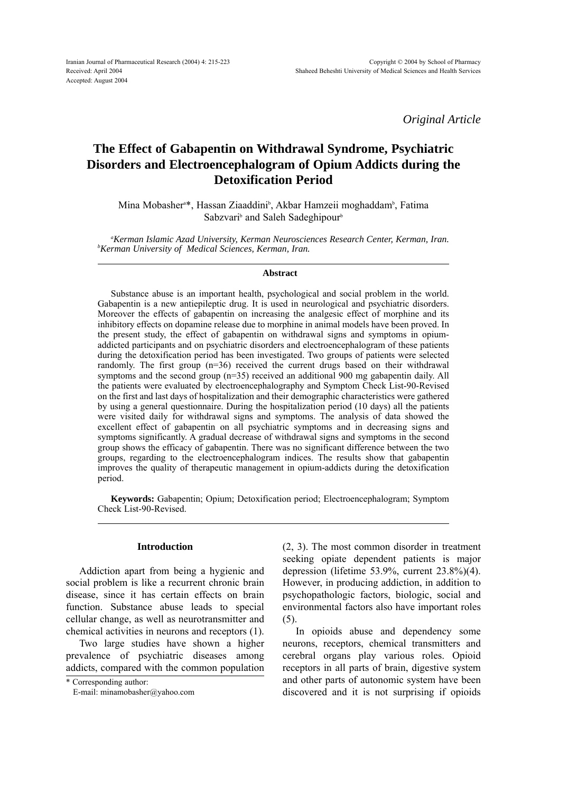*Original Article*

# **The Effect of Gabapentin on Withdrawal Syndrome, Psychiatric Disorders and Electroencephalogram of Opium Addicts during the Detoxification Period**

Mina Mobasher<sup>a\*</sup>, Hassan Ziaaddini<sup>b</sup>, Akbar Hamzeii moghaddam<sup>b</sup>, Fatima Sabzvari<sup>b</sup> and Saleh Sadeghipour<sup>b</sup>

*a Kerman Islamic Azad University, Kerman Neurosciences Research Center, Kerman, Iran. <sup>b</sup> Kerman University of Medical Sciences, Kerman, Iran.*

## **Abstract**

Substance abuse is an important health, psychological and social problem in the world. Gabapentin is a new antiepileptic drug. It is used in neurological and psychiatric disorders. Moreover the effects of gabapentin on increasing the analgesic effect of morphine and its inhibitory effects on dopamine release due to morphine in animal models have been proved. In the present study, the effect of gabapentin on withdrawal signs and symptoms in opiumaddicted participants and on psychiatric disorders and electroencephalogram of these patients during the detoxification period has been investigated. Two groups of patients were selected randomly. The first group (n=36) received the current drugs based on their withdrawal symptoms and the second group (n=35) received an additional 900 mg gabapentin daily. All the patients were evaluated by electroencephalography and Symptom Check List-90-Revised on the first and last days of hospitalization and their demographic characteristics were gathered by using a general questionnaire. During the hospitalization period (10 days) all the patients were visited daily for withdrawal signs and symptoms. The analysis of data showed the excellent effect of gabapentin on all psychiatric symptoms and in decreasing signs and symptoms significantly. A gradual decrease of withdrawal signs and symptoms in the second group shows the efficacy of gabapentin. There was no significant difference between the two groups, regarding to the electroencephalogram indices. The results show that gabapentin improves the quality of therapeutic management in opium-addicts during the detoxification period.

**Keywords:** Gabapentin; Opium; Detoxification period; Electroencephalogram; Symptom Check List-90-Revised.

# **Introduction**

Addiction apart from being a hygienic and social problem is like a recurrent chronic brain disease, since it has certain effects on brain function. Substance abuse leads to special cellular change, as well as neurotransmitter and chemical activities in neurons and receptors (1).

Two large studies have shown a higher prevalence of psychiatric diseases among addicts, compared with the common population

(2, 3). The most common disorder in treatment seeking opiate dependent patients is major depression (lifetime 53.9%, current 23.8%)(4). However, in producing addiction, in addition to psychopathologic factors, biologic, social and environmental factors also have important roles (5).

In opioids abuse and dependency some neurons, receptors, chemical transmitters and cerebral organs play various roles. Opioid receptors in all parts of brain, digestive system and other parts of autonomic system have been discovered and it is not surprising if opioids

<sup>\*</sup> Corresponding author:

E-mail: minamobasher@yahoo.com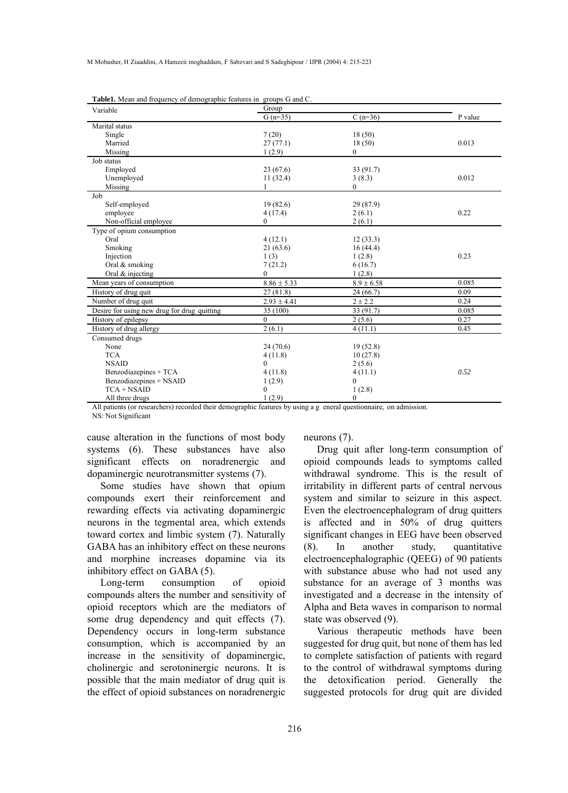| Variable                                    | Group            |                |         |
|---------------------------------------------|------------------|----------------|---------|
|                                             | $G(n=35)$        | $C(n=36)$      | P value |
| Marital status                              |                  |                |         |
| Single                                      | 7(20)            | 18(50)         |         |
| Married                                     | 27(77.1)         | 18(50)         | 0.013   |
| Missing                                     | 1(2.9)           | $\mathbf{0}$   |         |
| Job status                                  |                  |                |         |
| Employed                                    | 23(67.6)         | 33(91.7)       |         |
| Unemployed                                  | 11(32.4)         | 3(8.3)         | 0.012   |
| Missing                                     |                  | $\theta$       |         |
| Job                                         |                  |                |         |
| Self-employed                               | 19(82.6)         | 29 (87.9)      |         |
| employee                                    | 4(17.4)          | 2(6.1)         | 0.22    |
| Non-official employee                       | $\mathbf{0}$     | 2(6.1)         |         |
| Type of opium consumption                   |                  |                |         |
| Oral                                        | 4(12.1)          | 12(33.3)       |         |
| Smoking                                     | 21(63.6)         | 16(44.4)       |         |
| Injection                                   | 1(3)             | 1(2.8)         | 0.23    |
| Oral & smoking                              | 7(21.2)          | 6(16.7)        |         |
| Oral $&$ injecting                          | $\theta$         | 1(2.8)         |         |
| Mean years of consumption                   | $8.86 \pm 5.33$  | $8.9 \pm 6.58$ | 0.085   |
| History of drug quit                        | 27(81.8)         | 24(66.7)       | 0.09    |
| Number of drug quit                         | $2.93 \pm 4.41$  | $2 \pm 2.2$    | 0.24    |
| Desire for using new drug for drug quitting | 35 (100)         | 33 (91.7)      | 0.085   |
| History of epilepsy                         | $\mathbf{0}$     | 2(5.6)         | 0.27    |
| History of drug allergy                     | 2(6.1)           | 4(11.1)        | 0.45    |
| Consumed drugs                              |                  |                |         |
| None                                        | 24(70.6)         | 19(52.8)       |         |
| <b>TCA</b>                                  | 4(11.8)          | 10(27.8)       |         |
| <b>NSAID</b>                                | $\boldsymbol{0}$ | 2(5.6)         |         |
| Benzodiazepines + TCA                       | 4(11.8)          | 4(11.1)        | 0.52    |
| Benzodiazepines + NSAID                     | 1(2.9)           | $\mathbf{0}$   |         |
| $TCA + NSAID$                               | $\boldsymbol{0}$ | 1(2.8)         |         |
| All three drugs                             | 1(2.9)           | $\mathbf{0}$   |         |

|  |  | <b>Table1.</b> Mean and frequency of demographic features in groups G and C. |
|--|--|------------------------------------------------------------------------------|
|--|--|------------------------------------------------------------------------------|

All patients (or researchers) recorded their demographic features by using a g eneral questionnaire, on admission.

NS: Not Significant

cause alteration in the functions of most body systems (6). These substances have also significant effects on noradrenergic and dopaminergic neurotransmitter systems (7).

Some studies have shown that opium compounds exert their reinforcement and rewarding effects via activating dopaminergic neurons in the tegmental area, which extends toward cortex and limbic system (7). Naturally GABA has an inhibitory effect on these neurons and morphine increases dopamine via its inhibitory effect on GABA (5).

Long-term consumption of opioid compounds alters the number and sensitivity of opioid receptors which are the mediators of some drug dependency and quit effects (7). Dependency occurs in long-term substance consumption, which is accompanied by an increase in the sensitivity of dopaminergic, cholinergic and serotoninergic neurons. It is possible that the main mediator of drug quit is the effect of opioid substances on noradrenergic

neurons (7).

Drug quit after long-term consumption of opioid compounds leads to symptoms called withdrawal syndrome. This is the result of irritability in different parts of central nervous system and similar to seizure in this aspect. Even the electroencephalogram of drug quitters is affected and in 50% of drug quitters significant changes in EEG have been observed (8). In another study, quantitative electroencephalographic (QEEG) of 90 patients with substance abuse who had not used any substance for an average of 3 months was investigated and a decrease in the intensity of Alpha and Beta waves in comparison to normal state was observed (9).

Various therapeutic methods have been suggested for drug quit, but none of them has led to complete satisfaction of patients with regard to the control of withdrawal symptoms during the detoxification period. Generally the suggested protocols for drug quit are divided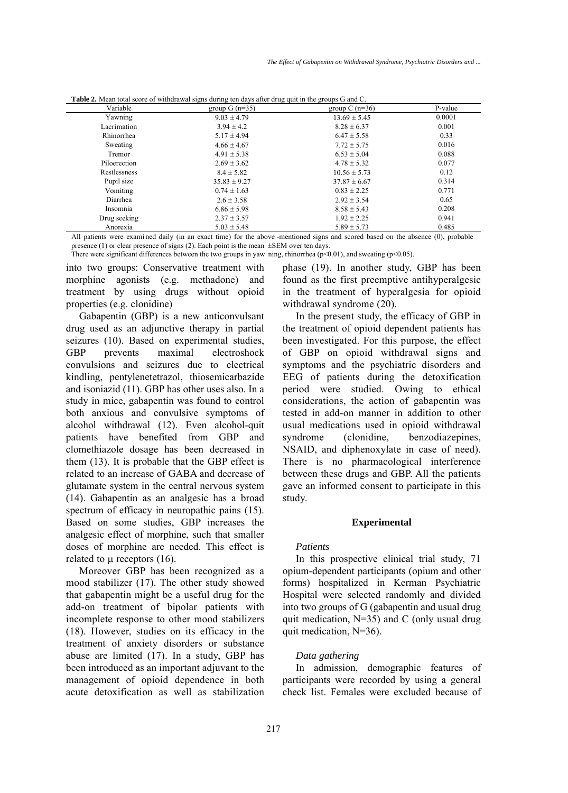| Variable        | group $G(n=35)$  | group $C(n=36)$  | P-value |
|-----------------|------------------|------------------|---------|
| Yawning         | $9.03 \pm 4.79$  | $13.69 \pm 5.45$ | 0.0001  |
| Lacrimation     | $3.94 + 4.2$     | $8.28 \pm 6.37$  | 0.001   |
| Rhinorrhea      | $5.17 \pm 4.94$  | $6.47 \pm 5.58$  | 0.33    |
| Sweating        | $4.66 \pm 4.67$  | $7.72 \pm 5.75$  | 0.016   |
| Tremor          | $4.91 \pm 5.38$  | $6.53 \pm 5.04$  | 0.088   |
| Piloerection    | $2.69 \pm 3.62$  | $4.78 \pm 5.32$  | 0.077   |
| Restlessness    | $8.4 \pm 5.82$   | $10.56 \pm 5.73$ | 0.12    |
| Pupil size      | $35.83 \pm 9.27$ | $37.87 \pm 6.67$ | 0.314   |
| Vomiting        | $0.74 \pm 1.63$  | $0.83 \pm 2.25$  | 0.771   |
| <b>Diarrhea</b> | $2.6 \pm 3.58$   | $2.92 + 3.54$    | 0.65    |
| Insomnia        | $6.86 \pm 5.98$  | $8.58 \pm 5.43$  | 0.208   |
| Drug seeking    | $2.37 \pm 3.57$  | $1.92 \pm 2.25$  | 0.941   |
| Anorexia        | $5.03 \pm 5.48$  | $5.89 \pm 5.73$  | 0.485   |

**Table 2.** Mean total score of withdrawal signs during ten days after drug quit in the groups G and C.

All patients were examined daily (in an exact time) for the above -mentioned signs and scored based on the absence (0), probable presence (1) or clear presence of signs (2). Each point is the mean ±SEM over ten days.

There were significant differences between the two groups in yaw ning, rhinorrhea ( $p<0.01$ ), and sweating ( $p<0.05$ ).

into two groups: Conservative treatment with morphine agonists (e.g. methadone) and treatment by using drugs without opioid properties (e.g. clonidine)

Gabapentin (GBP) is a new anticonvulsant drug used as an adjunctive therapy in partial seizures (10). Based on experimental studies, GBP prevents maximal electroshock convulsions and seizures due to electrical kindling, pentylenetetrazol, thiosemicarbazide and isoniazid (11). GBP has other uses also. In a study in mice, gabapentin was found to control both anxious and convulsive symptoms of alcohol withdrawal (12). Even alcohol-quit patients have benefited from GBP and clomethiazole dosage has been decreased in them (13). It is probable that the GBP effect is related to an increase of GABA and decrease of glutamate system in the central nervous system (14). Gabapentin as an analgesic has a broad spectrum of efficacy in neuropathic pains  $(15)$ . Based on some studies, GBP increases the analgesic effect of morphine, such that smaller doses of morphine are needed. This effect is related to  $\mu$  receptors (16).

Moreover GBP has been recognized as a mood stabilizer (17). The other study showed that gabapentin might be a useful drug for the add-on treatment of bipolar patients with incomplete response to other mood stabilizers (18). However, studies on its efficacy in the treatment of anxiety disorders or substance abuse are limited (17). In a study, GBP has been introduced as an important adjuvant to the management of opioid dependence in both acute detoxification as well as stabilization phase (19). In another study, GBP has been found as the first preemptive antihyperalgesic in the treatment of hyperalgesia for opioid withdrawal syndrome (20).

In the present study, the efficacy of GBP in the treatment of opioid dependent patients has been investigated. For this purpose, the effect of GBP on opioid withdrawal signs and symptoms and the psychiatric disorders and EEG of patients during the detoxification period were studied. Owing to ethical considerations, the action of gabapentin was tested in add-on manner in addition to other usual medications used in opioid withdrawal syndrome (clonidine, benzodiazepines, NSAID, and diphenoxylate in case of need). There is no pharmacological interference between these drugs and GBP. All the patients gave an informed consent to participate in this study.

#### **Experimental**

#### *Patients*

In this prospective clinical trial study, 71 opium-dependent participants (opium and other forms) hospitalized in Kerman Psychiatric Hospital were selected randomly and divided into two groups of G (gabapentin and usual drug quit medication, N=35) and C (only usual drug quit medication, N=36).

#### *Data gathering*

In admission, demographic features of participants were recorded by using a general check list. Females were excluded because of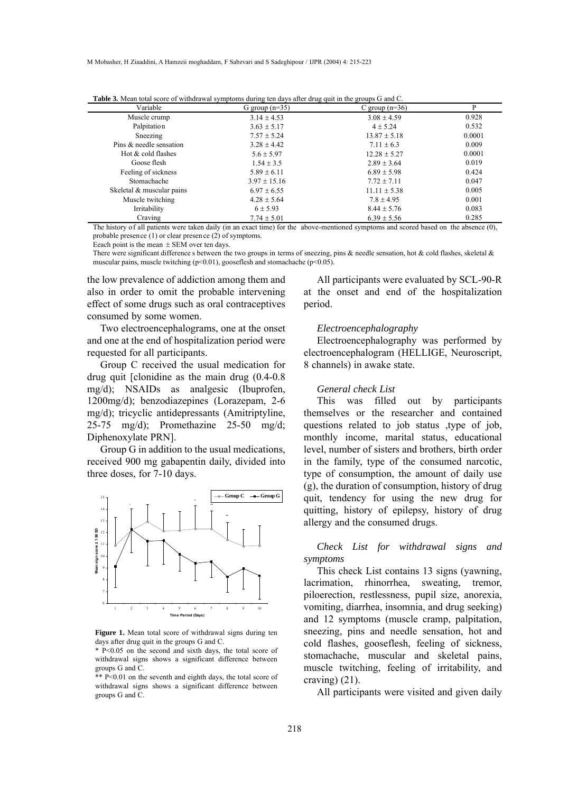M Mobasher, H Ziaaddini, A Hamzeii moghaddam, F Sabzvari and S Sadeghipour / IJPR (2004) 4: 215-223

| Variable                  | G group $(n=35)$ | C group $(n=36)$ | P      |
|---------------------------|------------------|------------------|--------|
| Muscle crump              | $3.14 \pm 4.53$  | $3.08 \pm 4.59$  | 0.928  |
| Palpitation               | $3.63 \pm 5.17$  | $4 \pm 5.24$     | 0.532  |
| Sneezing                  | $7.57 \pm 5.24$  | $13.87 \pm 5.18$ | 0.0001 |
| Pins & needle sensation   | $3.28 \pm 4.42$  | $7.11 \pm 6.3$   | 0.009  |
| Hot & cold flashes        | $5.6 \pm 5.97$   | $12.28 \pm 5.27$ | 0.0001 |
| Goose flesh               | $1.54 \pm 3.5$   | $2.89 \pm 3.64$  | 0.019  |
| Feeling of sickness       | $5.89 \pm 6.11$  | $6.89 \pm 5.98$  | 0.424  |
| Stomachache               | $3.97 \pm 15.16$ | $7.72 \pm 7.11$  | 0.047  |
| Skeletal & muscular pains | $6.97 \pm 6.55$  | $11.11 \pm 5.38$ | 0.005  |
| Muscle twitching          | $4.28 \pm 5.64$  | $7.8 \pm 4.95$   | 0.001  |
| Irritability              | $6 \pm 5.93$     | $8.44 \pm 5.76$  | 0.083  |
| Craving                   | $7.74 \pm 5.01$  | $6.39 \pm 5.56$  | 0.285  |

**Table 3.** Mean total score of withdrawal symptoms during ten days after drug quit in the groups G and C.

The history of all patients were taken daily (in an exact time) for the above-mentioned symptoms and scored based on the absence (0), probable presence (1) or clear presen ce (2) of symptoms.

Eeach point is the mean  $\pm$  SEM over ten days.

There were significant difference s between the two groups in terms of sneezing, pins  $\&$  needle sensation, hot  $\&$  cold flashes, skeletal  $\&$ muscular pains, muscle twitching (p<0.01), gooseflesh and stomachache (p<0.05).

the low prevalence of addiction among them and also in order to omit the probable intervening effect of some drugs such as oral contraceptives consumed by some women.

Two electroencephalograms, one at the onset and one at the end of hospitalization period were requested for all participants.

Group C received the usual medication for drug quit [clonidine as the main drug (0.4-0.8 mg/d); NSAIDs as analgesic (Ibuprofen, 1200mg/d); benzodiazepines (Lorazepam, 2-6 mg/d); tricyclic antidepressants (Amitriptyline, 25-75 mg/d); Promethazine 25-50 mg/d; Diphenoxylate PRN].

Group G in addition to the usual medications, received 900 mg gabapentin daily, divided into three doses, for 7-10 days.



**Figure 1.** Mean total score of withdrawal signs during ten days after drug quit in the groups G and C.

\* P<0.05 on the second and sixth days, the total score of withdrawal signs shows a significant difference between groups G and C.

 $*$  P<0.01 on the seventh and eighth days, the total score of withdrawal signs shows a significant difference between groups G and C.

All participants were evaluated by SCL-90-R at the onset and end of the hospitalization period.

## *Electroencephalography*

Electroencephalography was performed by electroencephalogram (HELLIGE, Neuroscript, 8 channels) in awake state.

#### *General check List*

This was filled out by participants themselves or the researcher and contained questions related to job status ,type of job, monthly income, marital status, educational level, number of sisters and brothers, birth order in the family, type of the consumed narcotic, type of consumption, the amount of daily use (g), the duration of consumption, history of drug quit, tendency for using the new drug for quitting, history of epilepsy, history of drug allergy and the consumed drugs.

*Check List for withdrawal signs and symptoms*

This check List contains 13 signs (yawning, lacrimation, rhinorrhea, sweating, tremor, piloerection, restlessness, pupil size, anorexia, vomiting, diarrhea, insomnia, and drug seeking) and 12 symptoms (muscle cramp, palpitation, sneezing, pins and needle sensation, hot and cold flashes, gooseflesh, feeling of sickness, stomachache, muscular and skeletal pains, muscle twitching, feeling of irritability, and craving) (21).

All participants were visited and given daily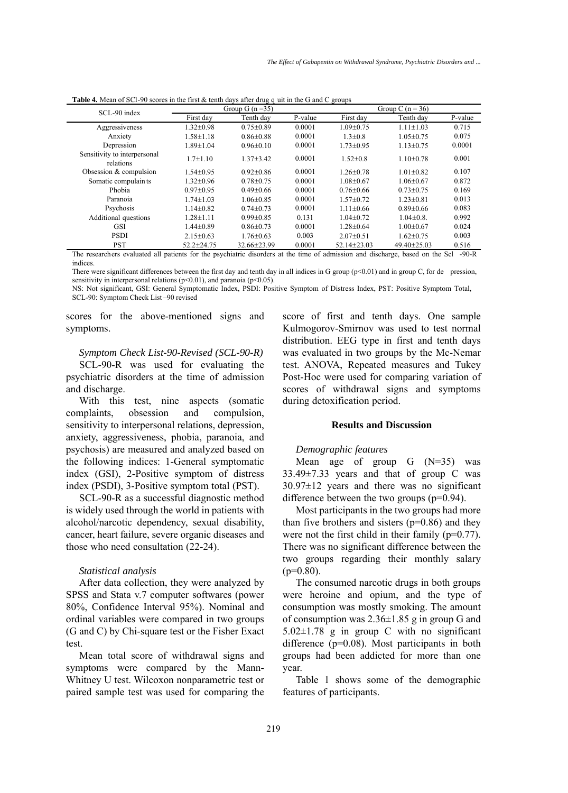| SCL-90 index                              | Group G $(n=35)$ |                 | Group C $(n = 36)$ |                   |                   |         |
|-------------------------------------------|------------------|-----------------|--------------------|-------------------|-------------------|---------|
|                                           | First day        | Tenth day       | P-value            | First day         | Tenth day         | P-value |
| Aggressiveness                            | $1.32 \pm 0.98$  | $0.75 \pm 0.89$ | 0.0001             | $1.09 \pm 0.75$   | $1.11 \pm 1.03$   | 0.715   |
| Anxiety                                   | $1.58 \pm 1.18$  | $0.86 \pm 0.88$ | 0.0001             | $1.3 \pm 0.8$     | $1.05 \pm 0.75$   | 0.075   |
| Depression                                | $1.89 \pm 1.04$  | $0.96 \pm 0.10$ | 0.0001             | $1.73 \pm 0.95$   | $1.13 \pm 0.75$   | 0.0001  |
| Sensitivity to interpersonal<br>relations | $1.7 \pm 1.10$   | $1.37\pm3.42$   | 0.0001             | $1.52 \pm 0.8$    | $1.10 \pm 0.78$   | 0.001   |
| Obsession $&$ compulsion                  | $1.54 \pm 0.95$  | $0.92 \pm 0.86$ | 0.0001             | $1.26 + 0.78$     | $1.01 \pm 0.82$   | 0.107   |
| Somatic compulaints                       | $1.32 \pm 0.96$  | $0.78 \pm 0.75$ | 0.0001             | $1.08 \pm 0.67$   | $1.06 \pm 0.67$   | 0.872   |
| Phobia                                    | $0.97 \pm 0.95$  | $0.49 \pm 0.66$ | 0.0001             | $0.76 \pm 0.66$   | $0.73 \pm 0.75$   | 0.169   |
| Paranoia                                  | $1.74 \pm 1.03$  | $1.06 \pm 0.85$ | 0.0001             | $1.57 \pm 0.72$   | $1.23 \pm 0.81$   | 0.013   |
| Psychosis                                 | $1.14 + 0.82$    | $0.74 \pm 0.73$ | 0.0001             | $1.11 \pm 0.66$   | $0.89 \pm 0.66$   | 0.083   |
| Additional questions                      | $1.28 + 1.11$    | $0.99 \pm 0.85$ | 0.131              | $1.04 + 0.72$     | $1.04 \pm 0.8$ .  | 0.992   |
| <b>GSI</b>                                | $1.44 \pm 0.89$  | $0.86 \pm 0.73$ | 0.0001             | $1.28 \pm 0.64$   | $1.00 \pm 0.67$   | 0.024   |
| <b>PSDI</b>                               | $2.15 \pm 0.63$  | $1.76 \pm 0.63$ | 0.003              | $2.07 \pm 0.51$   | $1.62 \pm 0.75$   | 0.003   |
| <b>PST</b>                                | $52.2 \pm 24.75$ | 32.66±23.99     | 0.0001             | $52.14 \pm 23.03$ | $49.40 \pm 25.03$ | 0.516   |

**Table 4.** Mean of SCI-90 scores in the first & tenth days after drug q uit in the G and C groups

The researchers evaluated all patients for the psychiatric disorders at the time of admission and discharge, based on the Scl -90-R indices.

There were significant differences between the first day and tenth day in all indices in G group (p<0.01) and in group C, for de pression, sensitivity in interpersonal relations  $(p<0.01)$ , and paranoia  $(p<0.05)$ .

NS: Not significant, GSI: General Symptomatic Index, PSDI: Positive Symptom of Distress Index, PST: Positive Symptom Total, SCL-90: Symptom Check List-90 revised

scores for the above-mentioned signs and symptoms.

*Symptom Check List-90-Revised (SCL-90-R)*

SCL-90-R was used for evaluating the psychiatric disorders at the time of admission and discharge.

With this test, nine aspects (somatic complaints, obsession and compulsion, sensitivity to interpersonal relations, depression, anxiety, aggressiveness, phobia, paranoia, and psychosis) are measured and analyzed based on the following indices: 1-General symptomatic index (GSI), 2-Positive symptom of distress index (PSDI), 3-Positive symptom total (PST).

SCL-90-R as a successful diagnostic method is widely used through the world in patients with alcohol/narcotic dependency, sexual disability, cancer, heart failure, severe organic diseases and those who need consultation (22-24).

#### *Statistical analysis*

After data collection, they were analyzed by SPSS and Stata v.7 computer softwares (power 80%, Confidence Interval 95%). Nominal and ordinal variables were compared in two groups (G and C) by Chi-square test or the Fisher Exact test.

Mean total score of withdrawal signs and symptoms were compared by the Mann-Whitney U test. Wilcoxon nonparametric test or paired sample test was used for comparing the score of first and tenth days. One sample Kulmogorov-Smirnov was used to test normal distribution. EEG type in first and tenth days was evaluated in two groups by the Mc-Nemar test. ANOVA, Repeated measures and Tukey Post-Hoc were used for comparing variation of scores of withdrawal signs and symptoms during detoxification period.

#### **Results and Discussion**

#### *Demographic features*

Mean age of group  $G(N=35)$  was 33.49±7.33 years and that of group C was  $30.97\pm12$  years and there was no significant difference between the two groups (p=0.94).

Most participants in the two groups had more than five brothers and sisters  $(p=0.86)$  and they were not the first child in their family (p=0.77). There was no significant difference between the two groups regarding their monthly salary  $(p=0.80)$ .

The consumed narcotic drugs in both groups were heroine and opium, and the type of consumption was mostly smoking. The amount of consumption was  $2.36\pm1.85$  g in group G and  $5.02 \pm 1.78$  g in group C with no significant difference (p=0.08). Most participants in both groups had been addicted for more than one year.

Table 1 shows some of the demographic features of participants.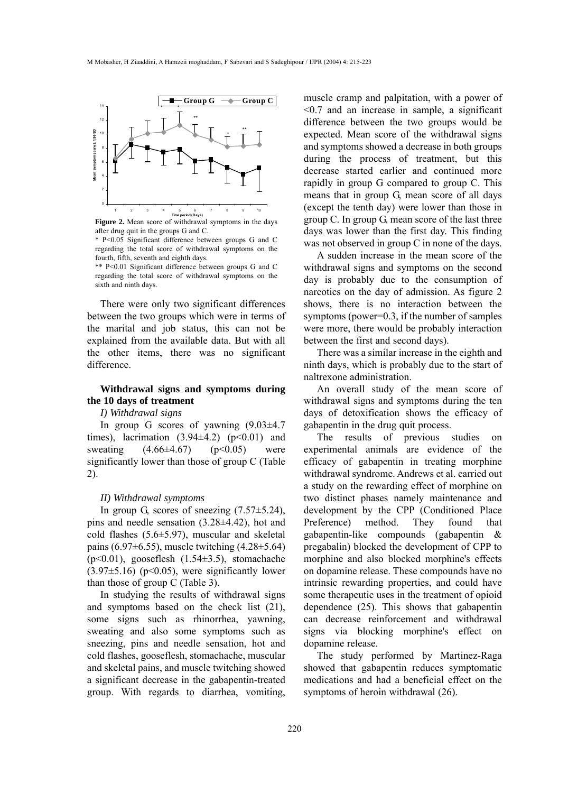

**Figure 2.** Mean score of withdrawal symptoms in the days after drug quit in the groups G and C.

\* P<0.05 Significant difference between groups G and C regarding the total score of withdrawal symptoms on the fourth, fifth, seventh and eighth days.

\*\* P<0.01 Significant difference between groups G and C regarding the total score of withdrawal symptoms on the sixth and ninth days.

There were only two significant differences between the two groups which were in terms of the marital and job status, this can not be explained from the available data. But with all the other items, there was no significant difference.

# **Withdrawal signs and symptoms during the 10 days of treatment**

## *I) Withdrawal signs*

In group G scores of yawning (9.03±4.7 times), lacrimation  $(3.94\pm4.2)$   $(p<0.01)$  and sweating  $(4.66 \pm 4.67)$   $(p<0.05)$  were significantly lower than those of group C (Table 2).

## *II) Withdrawal symptoms*

In group G, scores of sneezing  $(7.57\pm5.24)$ , pins and needle sensation (3.28±4.42), hot and cold flashes (5.6±5.97), muscular and skeletal pains (6.97 $\pm$ 6.55), muscle twitching (4.28 $\pm$ 5.64) (p<0.01), gooseflesh (1.54±3.5), stomachache  $(3.97\pm5.16)$  (p<0.05), were significantly lower than those of group C (Table 3).

In studying the results of withdrawal signs and symptoms based on the check list (21), some signs such as rhinorrhea, yawning, sweating and also some symptoms such as sneezing, pins and needle sensation, hot and cold flashes, gooseflesh, stomachache, muscular and skeletal pains, and muscle twitching showed a significant decrease in the gabapentin-treated group. With regards to diarrhea, vomiting, muscle cramp and palpitation, with a power of <0.7 and an increase in sample, a significant difference between the two groups would be expected. Mean score of the withdrawal signs and symptoms showed a decrease in both groups during the process of treatment, but this decrease started earlier and continued more rapidly in group G compared to group C. This means that in group G, mean score of all days (except the tenth day) were lower than those in group C. In group G, mean score of the last three days was lower than the first day. This finding was not observed in group C in none of the days.

A sudden increase in the mean score of the withdrawal signs and symptoms on the second day is probably due to the consumption of narcotics on the day of admission. As figure 2 shows, there is no interaction between the symptoms (power=0.3, if the number of samples were more, there would be probably interaction between the first and second days).

There was a similar increase in the eighth and ninth days, which is probably due to the start of naltrexone administration.

An overall study of the mean score of withdrawal signs and symptoms during the ten days of detoxification shows the efficacy of gabapentin in the drug quit process.

The results of previous studies on experimental animals are evidence of the efficacy of gabapentin in treating morphine withdrawal syndrome. Andrews et al. carried out a study on the rewarding effect of morphine on two distinct phases namely maintenance and development by the CPP (Conditioned Place Preference) method. They found that gabapentin-like compounds (gabapentin & pregabalin) blocked the development of CPP to morphine and also blocked morphine's effects on dopamine release. These compounds have no intrinsic rewarding properties, and could have some therapeutic uses in the treatment of opioid dependence (25). This shows that gabapentin can decrease reinforcement and withdrawal signs via blocking morphine's effect on dopamine release.

The study performed by Martinez-Raga showed that gabapentin reduces symptomatic medications and had a beneficial effect on the symptoms of heroin withdrawal (26).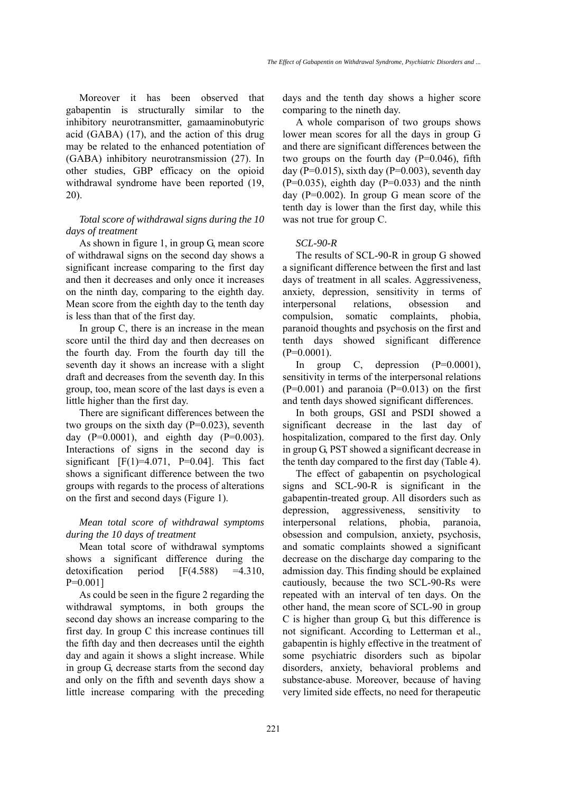Moreover it has been observed that gabapentin is structurally similar to the inhibitory neurotransmitter, gamaaminobutyric acid (GABA) (17), and the action of this drug may be related to the enhanced potentiation of (GABA) inhibitory neurotransmission (27). In other studies, GBP efficacy on the opioid withdrawal syndrome have been reported (19, 20).

# *Total score of withdrawal signs during the 10 days of treatment*

As shown in figure 1, in group G, mean score of withdrawal signs on the second day shows a significant increase comparing to the first day and then it decreases and only once it increases on the ninth day, comparing to the eighth day. Mean score from the eighth day to the tenth day is less than that of the first day.

In group C, there is an increase in the mean score until the third day and then decreases on the fourth day. From the fourth day till the seventh day it shows an increase with a slight draft and decreases from the seventh day. In this group, too, mean score of the last days is even a little higher than the first day.

There are significant differences between the two groups on the sixth day  $(P=0.023)$ , seventh day  $(P=0.0001)$ , and eighth day  $(P=0.003)$ . Interactions of signs in the second day is significant  $[F(1)=4.071, P=0.04]$ . This fact shows a significant difference between the two groups with regards to the process of alterations on the first and second days (Figure 1).

## *Mean total score of withdrawal symptoms during the 10 days of treatment*

Mean total score of withdrawal symptoms shows a significant difference during the detoxification period  $[F(4.588) = 4.310]$ P=0.001]

As could be seen in the figure 2 regarding the withdrawal symptoms, in both groups the second day shows an increase comparing to the first day. In group C this increase continues till the fifth day and then decreases until the eighth day and again it shows a slight increase. While in group G, decrease starts from the second day and only on the fifth and seventh days show a little increase comparing with the preceding days and the tenth day shows a higher score comparing to the nineth day.

A whole comparison of two groups shows lower mean scores for all the days in group G and there are significant differences between the two groups on the fourth day  $(P=0.046)$ , fifth day (P=0.015), sixth day (P=0.003), seventh day  $(P=0.035)$ , eighth day  $(P=0.033)$  and the ninth day (P=0.002). In group G mean score of the tenth day is lower than the first day, while this was not true for group C.

#### *SCL-90-R*

The results of SCL-90-R in group G showed a significant difference between the first and last days of treatment in all scales. Aggressiveness, anxiety, depression, sensitivity in terms of interpersonal relations, obsession and compulsion, somatic complaints, phobia, paranoid thoughts and psychosis on the first and tenth days showed significant difference  $(P=0.0001)$ .

In group C, depression (P=0.0001), sensitivity in terms of the interpersonal relations  $(P=0.001)$  and paranoia  $(P=0.013)$  on the first and tenth days showed significant differences.

In both groups, GSI and PSDI showed a significant decrease in the last day of hospitalization, compared to the first day. Only in group G, PST showed a significant decrease in the tenth day compared to the first day (Table 4).

The effect of gabapentin on psychological signs and SCL-90-R is significant in the gabapentin-treated group. All disorders such as depression, aggressiveness, sensitivity to interpersonal relations, phobia, paranoia, obsession and compulsion, anxiety, psychosis, and somatic complaints showed a significant decrease on the discharge day comparing to the admission day. This finding should be explained cautiously, because the two SCL-90-Rs were repeated with an interval of ten days. On the other hand, the mean score of SCL-90 in group C is higher than group G, but this difference is not significant. According to Letterman et al., gabapentin is highly effective in the treatment of some psychiatric disorders such as bipolar disorders, anxiety, behavioral problems and substance-abuse. Moreover, because of having very limited side effects, no need for therapeutic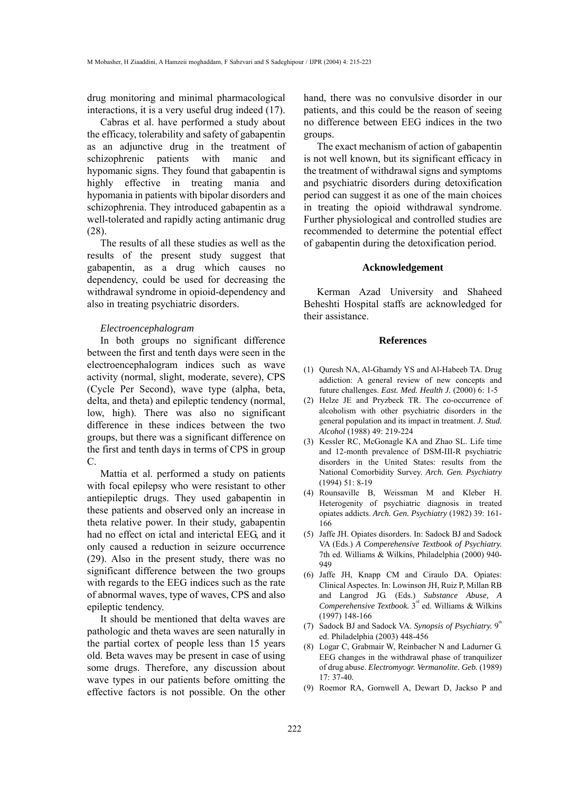drug monitoring and minimal pharmacological interactions, it is a very useful drug indeed (17).

Cabras et al. have performed a study about the efficacy, tolerability and safety of gabapentin as an adjunctive drug in the treatment of schizophrenic patients with manic and hypomanic signs. They found that gabapentin is highly effective in treating mania and hypomania in patients with bipolar disorders and schizophrenia. They introduced gabapentin as a well-tolerated and rapidly acting antimanic drug (28).

The results of all these studies as well as the results of the present study suggest that gabapentin, as a drug which causes no dependency, could be used for decreasing the withdrawal syndrome in opioid-dependency and also in treating psychiatric disorders.

## *Electroencephalogram*

In both groups no significant difference between the first and tenth days were seen in the electroencephalogram indices such as wave activity (normal, slight, moderate, severe), CPS (Cycle Per Second), wave type (alpha, beta, delta, and theta) and epileptic tendency (normal, low, high). There was also no significant difference in these indices between the two groups, but there was a significant difference on the first and tenth days in terms of CPS in group C.

Mattia et al. performed a study on patients with focal epilepsy who were resistant to other antiepileptic drugs. They used gabapentin in these patients and observed only an increase in theta relative power. In their study, gabapentin had no effect on ictal and interictal EEG, and it only caused a reduction in seizure occurrence (29). Also in the present study, there was no significant difference between the two groups with regards to the EEG indices such as the rate of abnormal waves, type of waves, CPS and also epileptic tendency.

It should be mentioned that delta waves are pathologic and theta waves are seen naturally in the partial cortex of people less than 15 years old. Beta waves may be present in case of using some drugs. Therefore, any discussion about wave types in our patients before omitting the effective factors is not possible. On the other

hand, there was no convulsive disorder in our patients, and this could be the reason of seeing no difference between EEG indices in the two groups.

The exact mechanism of action of gabapentin is not well known, but its significant efficacy in the treatment of withdrawal signs and symptoms and psychiatric disorders during detoxification period can suggest it as one of the main choices in treating the opioid withdrawal syndrome. Further physiological and controlled studies are recommended to determine the potential effect of gabapentin during the detoxification period.

## **Acknowledgement**

Kerman Azad University and Shaheed Beheshti Hospital staffs are acknowledged for their assistance.

#### **References**

- (1) Quresh NA, Al-Ghamdy YS and Al-Habeeb TA. Drug addiction: A general review of new concepts and future challenges. *East. Med. Health J.* (2000) 6: 1-5
- (2) Helze JE and Pryzbeck TR. The co-occurrence of alcoholism with other psychiatric disorders in the general population and its impact in treatment. *J. Stud. Alcohol* (1988) 49: 219-224
- (3) Kessler RC, McGonagle KA and Zhao SL. Life time and 12-month prevalence of DSM-III-R psychiatric disorders in the United States: results from the National Comorbidity Survey. *Arch. Gen. Psychiatry* (1994) 51: 8-19
- (4) Rounsaville B, Weissman M and Kleber H. Heterogenity of psychiatric diagnosis in treated opiates addicts. *Arch. Gen. Psychiatry* (1982) 39: 161- 166
- (5) Jaffe JH. Opiates disorders. In: Sadock BJ and Sadock VA (Eds.) *A Comperehensive Textbook of Psychiatry.* 7th ed. Williams & Wilkins, Philadelphia (2000) 940- 949
- (6) Jaffe JH, Knapp CM and Ciraulo DA. Opiates: Clinical Aspectes. In: Lowinson JH, Ruiz P, Millan RB and Langrod JG. (Eds.) *Substance Abuse, A* Comperehensive Textbook. 3<sup>rd</sup> ed. Williams & Wilkins (1997) 148-166
- (7) Sadock BJ and Sadock VA. *Synopsis of Psychiatry*.  $9^{\text{th}}$ ed. Philadelphia (2003) 448-456
- Logar C, Grabmair W, Reinbacher N and Ladurner G. (8) EEG changes in the withdrawal phase of tranquilizer of drug abuse. *Electromyogr. Vermanolite. Geb.* (1989) 17: 37-40*.*
- (9) Roemor RA, Gornwell A, Dewart D, Jackso P and